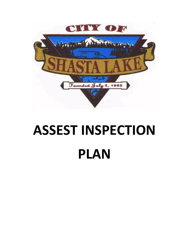

# **ASSEST INSPECTION PLAN**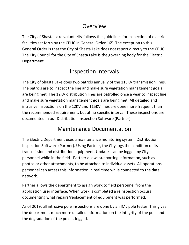## Overview

The City of Shasta Lake voluntarily follows the guidelines for inspection of electric facilities set forth by the CPUC in General Order 165. The exception to this General Order is that the City of Shasta Lake does not report directly to the CPUC. The City Council for the City of Shasta Lake is the governing body for the Electric Department.

# Inspection Intervals

The City of Shasta Lake does two patrols annually of the 115KV transmission lines. The patrols are to inspect the line and make sure vegetation management goals are being met. The 12KV distribution lines are patrolled once a year to inspect line and make sure vegetation management goals are being met. All detailed and intrusive inspections on the 12KV and 115KV lines are done more frequent than the recommended requirement, but at no specific interval. These inspections are documented in our Distribution Inspection Software (Partner).

# Maintenance Documentation

The Electric Department uses a maintenance monitoring system, Distribution Inspection Software (Partner). Using Partner, the City logs the condition of its transmission and distribution equipment. Updates can be logged by City personnel while in the field. Partner allows supporting information, such as photos or other attachments, to be attached to individual assets. All operations personnel can access this information in real time while connected to the data network.

Partner allows the department to assign work to field personnel from the application user interface. When work is completed a reinspection occurs documenting what repairs/replacement of equipment was performed.

As of 2019, all intrusive pole inspections are done by an IML pole tester. This gives the department much more detailed information on the integrity of the pole and the degradation of the pole is logged.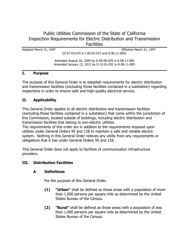## Public Utilities Commission of the State of California Inspection Requirements for Electric Distribution and Transmission **Facilities**

Adopted March 31, 1997 **Adopted March 31, 1997** Effective March 31, 1997

(D.97-03-070 in I.95-02-015 and R.96-11-004)

Amended August 20, 2009 by D.09-08-029 in R.08-11-005 Amended January 12, 2012 by D.12-01-032 in R.08-11-005

#### **I. Purpose**

The purpose of this General Order is to establish requirements for electric distribution and transmission facilities (excluding those facilities contained in a substation) regarding inspections in order to ensure safe and high-quality electrical service.

#### **II. Applicability**

This General Order applies to all electric distribution and transmission facilities (excluding those facilities contained in a substation) that come within the jurisdiction of this Commission, located outside of buildings, including electric distribution and transmission facilities that belong to non-electric utilities.

The requirements of this order are in addition to the requirements imposed upon utilities under General Orders 95 and 128 to maintain a safe and reliable electric system. Nothing in this General Order relieves any utility from any requirements or obligations that it has under General Orders 95 and 128.

This General Order does not apply to facilities of communication infrastructure providers.

#### **III. Distribution Facilities**

#### **A Definitions**

For the purpose of this General Order,

- **(1) "Urban"** shall be defined as those areas with a population of more than 1,000 persons per square mile as determined by the United States Bureau of the Census.
- **(2) "Rural"** shall be defined as those areas with a population of less than 1,000 persons per square mile as determined by the United States Bureau of the Census.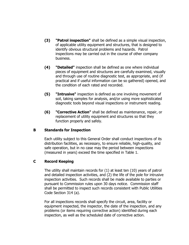- **(3) "Patrol inspection"** shall be defined as a simple visual inspection, of applicable utility equipment and structures, that is designed to identify obvious structural problems and hazards. Patrol inspections may be carried out in the course of other company business.
- **(4) "Detailed"** inspection shall be defined as one where individual pieces of equipment and structures are carefully examined, visually and through use of routine diagnostic test, as appropriate, and (if practical and if useful information can be so gathered) opened, and the condition of each rated and recorded.
- **(5) "Intrusive"** inspection is defined as one involving movement of soil, taking samples for analysis, and/or using more sophisticated diagnostic tools beyond visual inspections or instrument reading.
- **(6) "Corrective Action"** shall be defined as maintenance, repair, or replacement of utility equipment and structures so that they function properly and safely.

#### **B Standards for Inspection**

Each utility subject to this General Order shall conduct inspections of its distribution facilities, as necessary, to ensure reliable, high-quality, and safe operation, but in no case may the period between inspections (measured in years) exceed the time specified in Table 1.

### **C Record Keeping**

The utility shall maintain records for (1) at least ten (10) years of patrol and detailed inspection activities, and (2) the life of the pole for intrusive inspection activities. Such records shall be made available to parties or pursuant to Commission rules upon 30 days notice. Commission staff shall be permitted to inspect such records consistent with Public Utilities Code Section 314 (a).

For all inspections records shall specify the circuit, area, facility or equipment inspected, the inspector, the date of the inspection, and any problems (or items requiring corrective action) identified during each inspection, as well as the scheduled date of corrective action.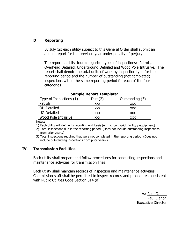## **D Reporting**

By July 1st each utility subject to this General Order shall submit an annual report for the previous year under penalty of perjury.

The report shall list four categorical types of inspections: Patrols, Overhead Detailed, Underground Detailed and Wood Pole Intrusive. The report shall denote the total units of work by inspection type for the reporting period and the number of outstanding (not completed) inspections within the same reporting period for each of the four categories.

| Type of Inspections (1) | Due /      | Outstanding (3) |
|-------------------------|------------|-----------------|
| Patrols                 | <b>XXX</b> | <b>XXX</b>      |
| <b>OH Detailed</b>      | <b>XXX</b> | <b>XXX</b>      |
| <b>UG Detailed</b>      | <b>XXX</b> | <b>XXX</b>      |
| Wood Pole Intrusive     | XXX        | <b>XXX</b>      |

|  | Sample Report Template: |  |  |
|--|-------------------------|--|--|
|--|-------------------------|--|--|

Notes:

1) Each utility will define its reporting unit basis (e.g., circuit, grid, facility / equipment).

2) Total inspections due in the reporting period. (Does not include outstanding inspections from prior years.)

3) Total inspections required that were not completed in the reporting period. (Does not include outstanding inspections from prior years.)

#### **IV. Transmission Facilities**

Each utility shall prepare and follow procedures for conducting inspections and maintenance activities for transmission lines.

Each utility shall maintain records of inspection and maintenance activities. Commission staff shall be permitted to inspect records and procedures consistent with Public Utilities Code Section 314 (a).

> /s/ Paul Clanon Paul Clanon Executive Director